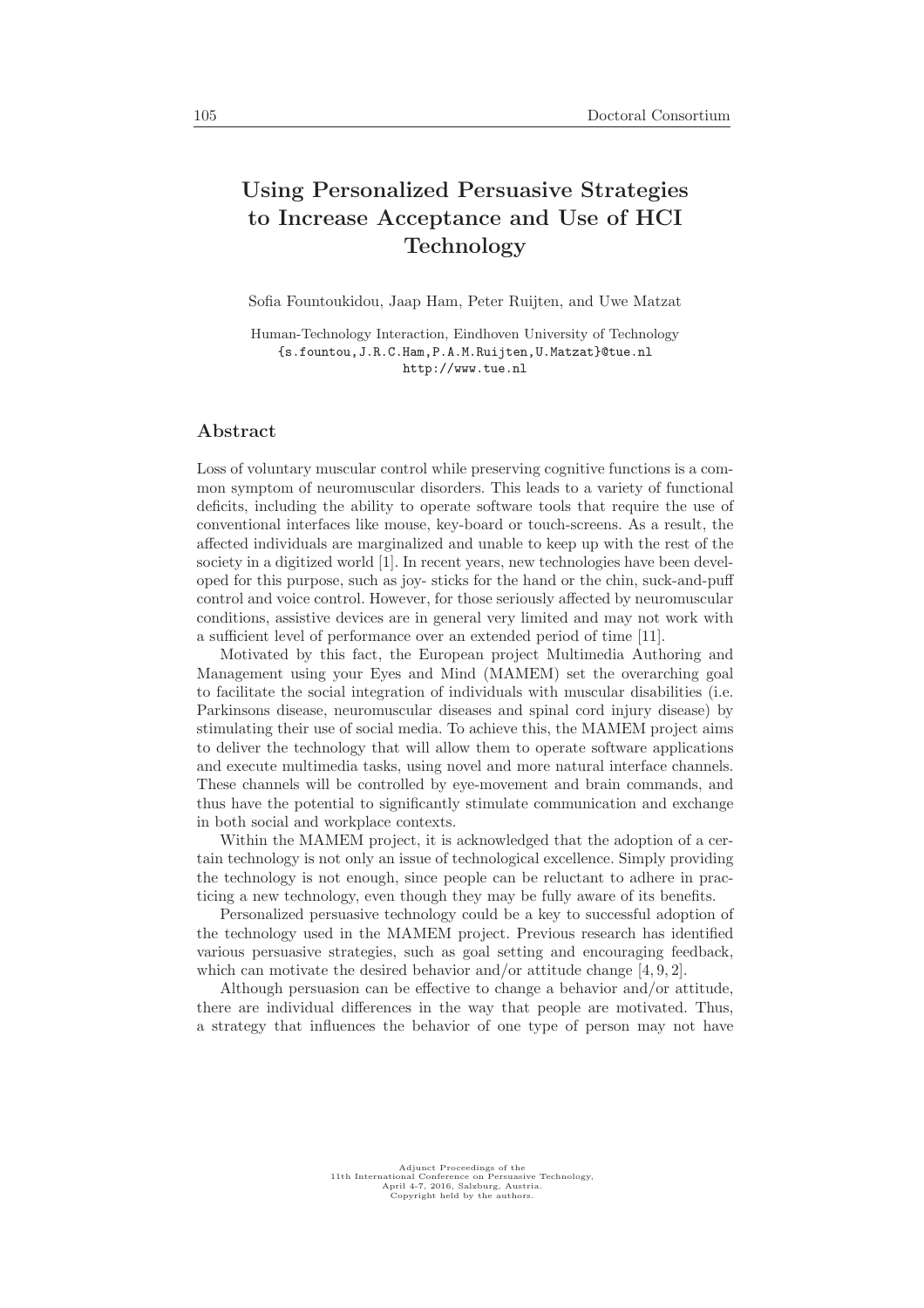## Using Personalized Persuasive Strategies to Increase Acceptance and Use of HCI Technology

Sofia Fountoukidou, Jaap Ham, Peter Ruijten, and Uwe Matzat

Human-Technology Interaction, Eindhoven University of Technology {s.fountou,J.R.C.Ham,P.A.M.Ruijten,U.Matzat}@tue.nl http://www.tue.nl

## Abstract

Loss of voluntary muscular control while preserving cognitive functions is a common symptom of neuromuscular disorders. This leads to a variety of functional deficits, including the ability to operate software tools that require the use of conventional interfaces like mouse, key-board or touch-screens. As a result, the affected individuals are marginalized and unable to keep up with the rest of the society in a digitized world [1]. In recent years, new technologies have been developed for this purpose, such as joy- sticks for the hand or the chin, suck-and-puff control and voice control. However, for those seriously affected by neuromuscular conditions, assistive devices are in general very limited and may not work with a sufficient level of performance over an extended period of time [11].

Motivated by this fact, the European project Multimedia Authoring and Management using your Eyes and Mind (MAMEM) set the overarching goal to facilitate the social integration of individuals with muscular disabilities (i.e. Parkinsons disease, neuromuscular diseases and spinal cord injury disease) by stimulating their use of social media. To achieve this, the MAMEM project aims to deliver the technology that will allow them to operate software applications and execute multimedia tasks, using novel and more natural interface channels. These channels will be controlled by eye-movement and brain commands, and thus have the potential to significantly stimulate communication and exchange in both social and workplace contexts.

Within the MAMEM project, it is acknowledged that the adoption of a certain technology is not only an issue of technological excellence. Simply providing the technology is not enough, since people can be reluctant to adhere in practicing a new technology, even though they may be fully aware of its benefits.

Personalized persuasive technology could be a key to successful adoption of the technology used in the MAMEM project. Previous research has identified various persuasive strategies, such as goal setting and encouraging feedback, which can motivate the desired behavior and/or attitude change [4, 9, 2].

Although persuasion can be effective to change a behavior and/or attitude, there are individual differences in the way that people are motivated. Thus, a strategy that influences the behavior of one type of person may not have

Adjunct Proceedings of the 11th International Conference on Persuasive Technology, April 4-7, 2016, Salzburg, Austria. Copyright held by the authors.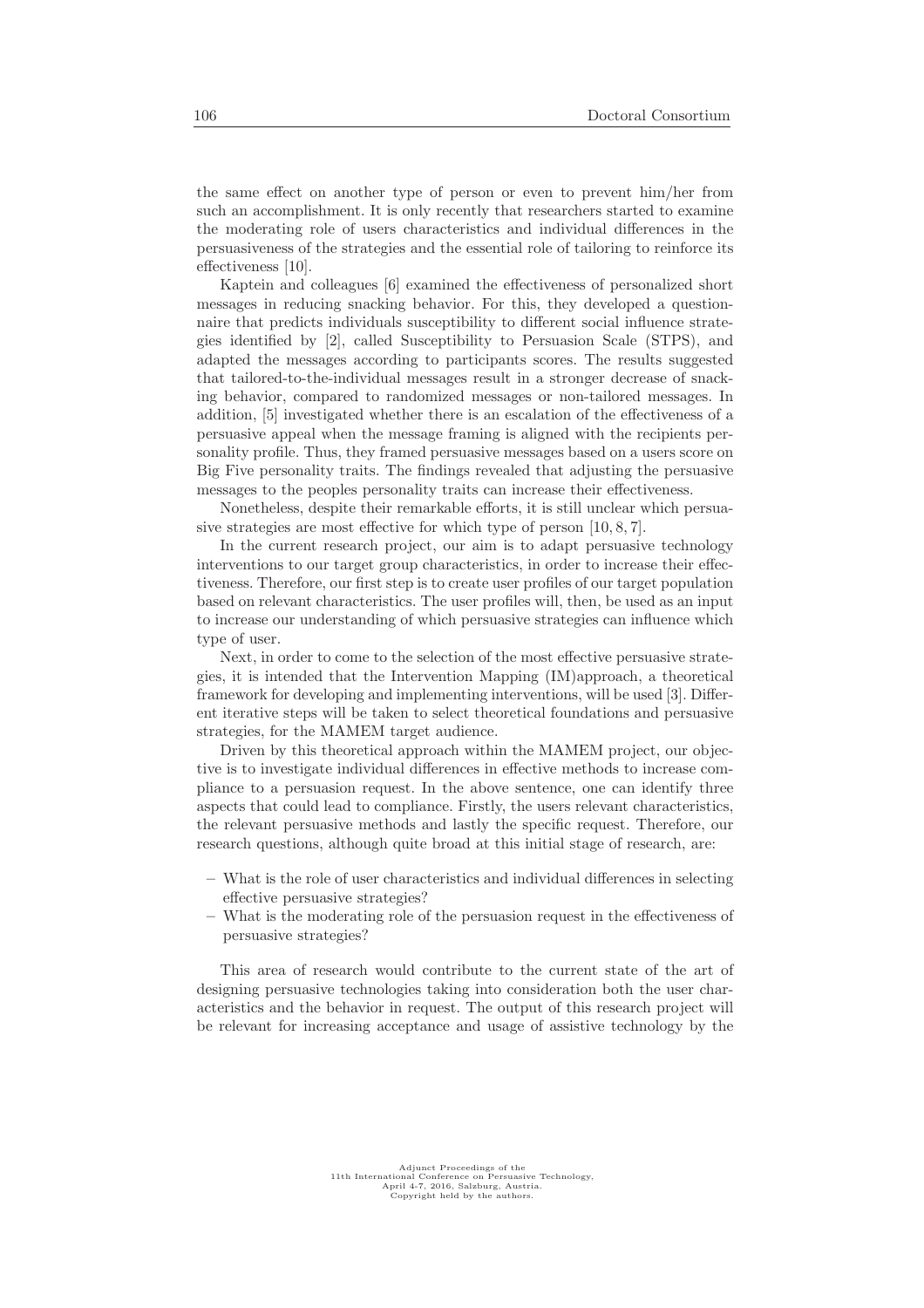the same effect on another type of person or even to prevent him/her from such an accomplishment. It is only recently that researchers started to examine the moderating role of users characteristics and individual differences in the persuasiveness of the strategies and the essential role of tailoring to reinforce its effectiveness [10].

Kaptein and colleagues [6] examined the effectiveness of personalized short messages in reducing snacking behavior. For this, they developed a questionnaire that predicts individuals susceptibility to different social influence strategies identified by [2], called Susceptibility to Persuasion Scale (STPS), and adapted the messages according to participants scores. The results suggested that tailored-to-the-individual messages result in a stronger decrease of snacking behavior, compared to randomized messages or non-tailored messages. In addition, [5] investigated whether there is an escalation of the effectiveness of a persuasive appeal when the message framing is aligned with the recipients personality profile. Thus, they framed persuasive messages based on a users score on Big Five personality traits. The findings revealed that adjusting the persuasive messages to the peoples personality traits can increase their effectiveness.

Nonetheless, despite their remarkable efforts, it is still unclear which persuasive strategies are most effective for which type of person [10, 8, 7].

In the current research project, our aim is to adapt persuasive technology interventions to our target group characteristics, in order to increase their effectiveness. Therefore, our first step is to create user profiles of our target population based on relevant characteristics. The user profiles will, then, be used as an input to increase our understanding of which persuasive strategies can influence which type of user.

Next, in order to come to the selection of the most effective persuasive strategies, it is intended that the Intervention Mapping (IM)approach, a theoretical framework for developing and implementing interventions, will be used [3]. Different iterative steps will be taken to select theoretical foundations and persuasive strategies, for the MAMEM target audience.

Driven by this theoretical approach within the MAMEM project, our objective is to investigate individual differences in effective methods to increase compliance to a persuasion request. In the above sentence, one can identify three aspects that could lead to compliance. Firstly, the users relevant characteristics, the relevant persuasive methods and lastly the specific request. Therefore, our research questions, although quite broad at this initial stage of research, are:

- What is the role of user characteristics and individual differences in selecting effective persuasive strategies?
- What is the moderating role of the persuasion request in the effectiveness of persuasive strategies?

This area of research would contribute to the current state of the art of designing persuasive technologies taking into consideration both the user characteristics and the behavior in request. The output of this research project will be relevant for increasing acceptance and usage of assistive technology by the